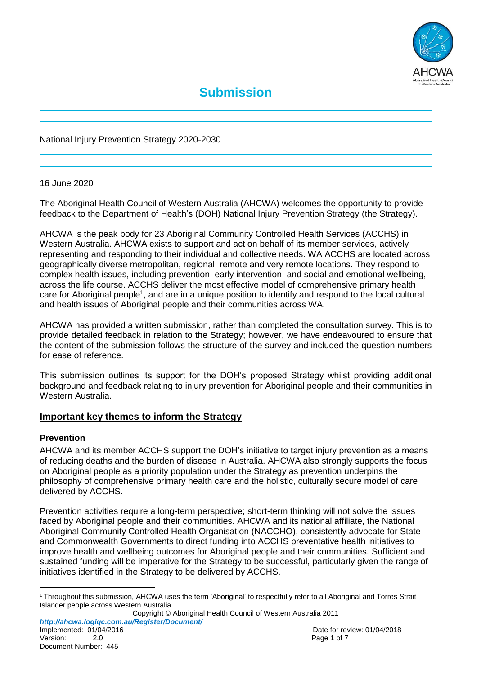

National Injury Prevention Strategy 2020-2030

#### 16 June 2020

The Aboriginal Health Council of Western Australia (AHCWA) welcomes the opportunity to provide feedback to the Department of Health's (DOH) National Injury Prevention Strategy (the Strategy).

AHCWA is the peak body for 23 Aboriginal Community Controlled Health Services (ACCHS) in Western Australia. AHCWA exists to support and act on behalf of its member services, actively representing and responding to their individual and collective needs. WA ACCHS are located across geographically diverse metropolitan, regional, remote and very remote locations. They respond to complex health issues, including prevention, early intervention, and social and emotional wellbeing, across the life course. ACCHS deliver the most effective model of comprehensive primary health care for Aboriginal people<sup>1</sup>, and are in a unique position to identify and respond to the local cultural and health issues of Aboriginal people and their communities across WA.

AHCWA has provided a written submission, rather than completed the consultation survey. This is to provide detailed feedback in relation to the Strategy; however, we have endeavoured to ensure that the content of the submission follows the structure of the survey and included the question numbers for ease of reference.

This submission outlines its support for the DOH's proposed Strategy whilst providing additional background and feedback relating to injury prevention for Aboriginal people and their communities in Western Australia.

# **Important key themes to inform the Strategy**

#### **Prevention**

AHCWA and its member ACCHS support the DOH's initiative to target injury prevention as a means of reducing deaths and the burden of disease in Australia. AHCWA also strongly supports the focus on Aboriginal people as a priority population under the Strategy as prevention underpins the philosophy of comprehensive primary health care and the holistic, culturally secure model of care delivered by ACCHS.

Prevention activities require a long-term perspective; short-term thinking will not solve the issues faced by Aboriginal people and their communities. AHCWA and its national affiliate, the National Aboriginal Community Controlled Health Organisation (NACCHO), consistently advocate for State and Commonwealth Governments to direct funding into ACCHS preventative health initiatives to improve health and wellbeing outcomes for Aboriginal people and their communities. Sufficient and sustained funding will be imperative for the Strategy to be successful, particularly given the range of initiatives identified in the Strategy to be delivered by ACCHS.

Copyright © Aboriginal Health Council of Western Australia 2011 *http://ahcwa.logiqc.com.au/Register/Document/*

 $\overline{a}$ 

<sup>&</sup>lt;sup>1</sup> Throughout this submission, AHCWA uses the term 'Aboriginal' to respectfully refer to all Aboriginal and Torres Strait Islander people across Western Australia.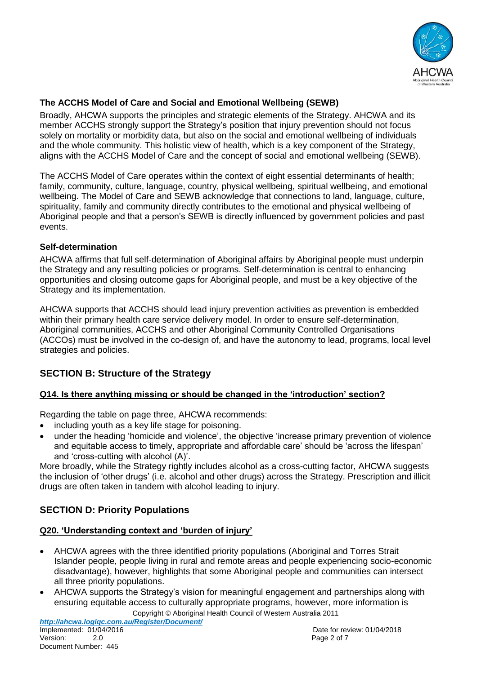

# **The ACCHS Model of Care and Social and Emotional Wellbeing (SEWB)**

Broadly, AHCWA supports the principles and strategic elements of the Strategy. AHCWA and its member ACCHS strongly support the Strategy's position that injury prevention should not focus solely on mortality or morbidity data, but also on the social and emotional wellbeing of individuals and the whole community. This holistic view of health, which is a key component of the Strategy, aligns with the ACCHS Model of Care and the concept of social and emotional wellbeing (SEWB).

The ACCHS Model of Care operates within the context of eight essential determinants of health; family, community, culture, language, country, physical wellbeing, spiritual wellbeing, and emotional wellbeing. The Model of Care and SEWB acknowledge that connections to land, language, culture, spirituality, family and community directly contributes to the emotional and physical wellbeing of Aboriginal people and that a person's SEWB is directly influenced by government policies and past events.

# **Self-determination**

AHCWA affirms that full self-determination of Aboriginal affairs by Aboriginal people must underpin the Strategy and any resulting policies or programs. Self-determination is central to enhancing opportunities and closing outcome gaps for Aboriginal people, and must be a key objective of the Strategy and its implementation.

AHCWA supports that ACCHS should lead injury prevention activities as prevention is embedded within their primary health care service delivery model. In order to ensure self-determination, Aboriginal communities, ACCHS and other Aboriginal Community Controlled Organisations (ACCOs) must be involved in the co-design of, and have the autonomy to lead, programs, local level strategies and policies.

# **SECTION B: Structure of the Strategy**

# **Q14. Is there anything missing or should be changed in the 'introduction' section?**

Regarding the table on page three, AHCWA recommends:

- including youth as a key life stage for poisoning.
- under the heading 'homicide and violence', the objective 'increase primary prevention of violence and equitable access to timely, appropriate and affordable care' should be 'across the lifespan' and 'cross-cutting with alcohol (A)'.

More broadly, while the Strategy rightly includes alcohol as a cross-cutting factor, AHCWA suggests the inclusion of 'other drugs' (i.e. alcohol and other drugs) across the Strategy. Prescription and illicit drugs are often taken in tandem with alcohol leading to injury.

# **SECTION D: Priority Populations**

# **Q20. 'Understanding context and 'burden of injury'**

- AHCWA agrees with the three identified priority populations (Aboriginal and Torres Strait Islander people, people living in rural and remote areas and people experiencing socio-economic disadvantage), however, highlights that some Aboriginal people and communities can intersect all three priority populations.
- Copyright © Aboriginal Health Council of Western Australia 2011 AHCWA supports the Strategy's vision for meaningful engagement and partnerships along with ensuring equitable access to culturally appropriate programs, however, more information is

*http://ahcwa.logiqc.com.au/Register/Document/*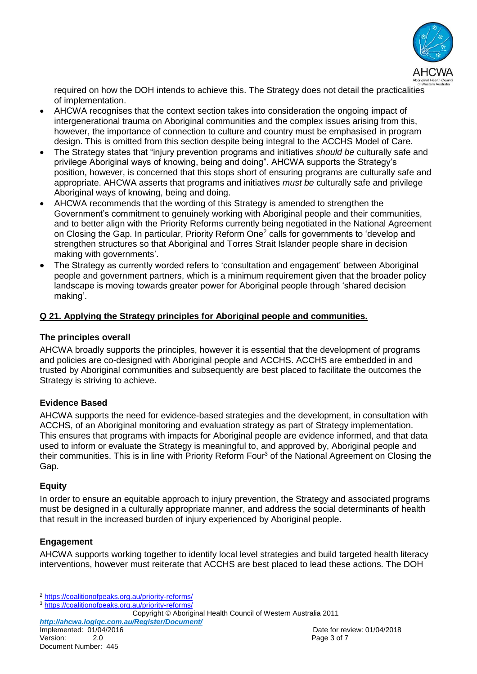

required on how the DOH intends to achieve this. The Strategy does not detail the practicalities of implementation.

- AHCWA recognises that the context section takes into consideration the ongoing impact of intergenerational trauma on Aboriginal communities and the complex issues arising from this, however, the importance of connection to culture and country must be emphasised in program design. This is omitted from this section despite being integral to the ACCHS Model of Care.
- The Strategy states that "injury prevention programs and initiatives *should be* culturally safe and privilege Aboriginal ways of knowing, being and doing". AHCWA supports the Strategy's position, however, is concerned that this stops short of ensuring programs are culturally safe and appropriate. AHCWA asserts that programs and initiatives *must be* culturally safe and privilege Aboriginal ways of knowing, being and doing.
- AHCWA recommends that the wording of this Strategy is amended to strengthen the Government's commitment to genuinely working with Aboriginal people and their communities, and to better align with the Priority Reforms currently being negotiated in the National Agreement on Closing the Gap. In particular, Priority Reform One<sup>2</sup> calls for governments to 'develop and strengthen structures so that Aboriginal and Torres Strait Islander people share in decision making with governments'.
- The Strategy as currently worded refers to 'consultation and engagement' between Aboriginal people and government partners, which is a minimum requirement given that the broader policy landscape is moving towards greater power for Aboriginal people through 'shared decision making'.

# **Q 21. Applying the Strategy principles for Aboriginal people and communities.**

### **The principles overall**

AHCWA broadly supports the principles, however it is essential that the development of programs and policies are co-designed with Aboriginal people and ACCHS. ACCHS are embedded in and trusted by Aboriginal communities and subsequently are best placed to facilitate the outcomes the Strategy is striving to achieve.

# **Evidence Based**

AHCWA supports the need for evidence-based strategies and the development, in consultation with ACCHS, of an Aboriginal monitoring and evaluation strategy as part of Strategy implementation. This ensures that programs with impacts for Aboriginal people are evidence informed, and that data used to inform or evaluate the Strategy is meaningful to, and approved by, Aboriginal people and their communities. This is in line with Priority Reform Four<sup>3</sup> of the National Agreement on Closing the Gap.

# **Equity**

 $\overline{a}$ 

In order to ensure an equitable approach to injury prevention, the Strategy and associated programs must be designed in a culturally appropriate manner, and address the social determinants of health that result in the increased burden of injury experienced by Aboriginal people.

# **Engagement**

AHCWA supports working together to identify local level strategies and build targeted health literacy interventions, however must reiterate that ACCHS are best placed to lead these actions. The DOH

<sup>2</sup> https://coalitionofpeaks.org.au/priority-reforms/

<sup>3</sup> <https://coalitionofpeaks.org.au/priority-reforms/>

Copyright © Aboriginal Health Council of Western Australia 2011

*http://ahcwa.logiqc.com.au/Register/Document/*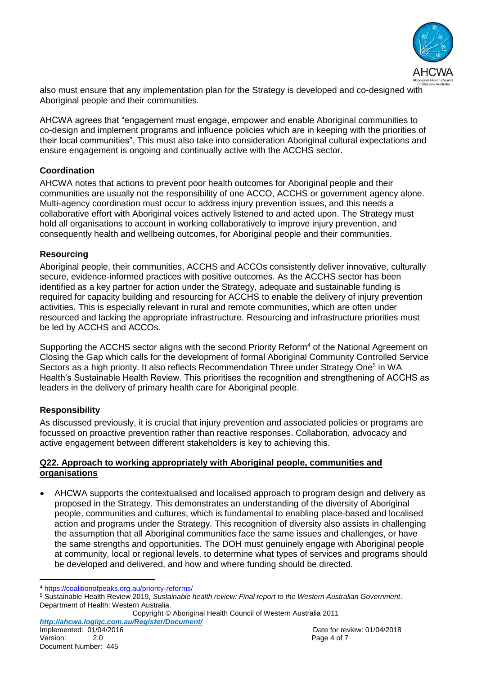

also must ensure that any implementation plan for the Strategy is developed and co-designed with Aboriginal people and their communities.

AHCWA agrees that "engagement must engage, empower and enable Aboriginal communities to co-design and implement programs and influence policies which are in keeping with the priorities of their local communities". This must also take into consideration Aboriginal cultural expectations and ensure engagement is ongoing and continually active with the ACCHS sector.

### **Coordination**

AHCWA notes that actions to prevent poor health outcomes for Aboriginal people and their communities are usually not the responsibility of one ACCO, ACCHS or government agency alone. Multi-agency coordination must occur to address injury prevention issues, and this needs a collaborative effort with Aboriginal voices actively listened to and acted upon. The Strategy must hold all organisations to account in working collaboratively to improve injury prevention, and consequently health and wellbeing outcomes, for Aboriginal people and their communities.

#### **Resourcing**

Aboriginal people, their communities, ACCHS and ACCOs consistently deliver innovative, culturally secure, evidence-informed practices with positive outcomes. As the ACCHS sector has been identified as a key partner for action under the Strategy, adequate and sustainable funding is required for capacity building and resourcing for ACCHS to enable the delivery of injury prevention activities. This is especially relevant in rural and remote communities, which are often under resourced and lacking the appropriate infrastructure. Resourcing and infrastructure priorities must be led by ACCHS and ACCOs.

Supporting the ACCHS sector aligns with the second Priority Reform<sup>4</sup> of the National Agreement on Closing the Gap which calls for the development of formal Aboriginal Community Controlled Service Sectors as a high priority. It also reflects Recommendation Three under Strategy One<sup>5</sup> in WA Health's Sustainable Health Review. This prioritises the recognition and strengthening of ACCHS as leaders in the delivery of primary health care for Aboriginal people.

# **Responsibility**

As discussed previously, it is crucial that injury prevention and associated policies or programs are focussed on proactive prevention rather than reactive responses. Collaboration, advocacy and active engagement between different stakeholders is key to achieving this.

#### **Q22. Approach to working appropriately with Aboriginal people, communities and organisations**

 AHCWA supports the contextualised and localised approach to program design and delivery as proposed in the Strategy. This demonstrates an understanding of the diversity of Aboriginal people, communities and cultures, which is fundamental to enabling place-based and localised action and programs under the Strategy. This recognition of diversity also assists in challenging the assumption that all Aboriginal communities face the same issues and challenges, or have the same strengths and opportunities. The DOH must genuinely engage with Aboriginal people at community, local or regional levels, to determine what types of services and programs should be developed and delivered, and how and where funding should be directed.

Copyright © Aboriginal Health Council of Western Australia 2011 *http://ahcwa.logiqc.com.au/Register/Document/*

l <sup>4</sup> https://coalitionofpeaks.org.au/priority-reforms/

<sup>5</sup> Sustainable Health Review 2019, *Sustainable health review: Final report to the Western Australian Government*. Department of Health: Western Australia.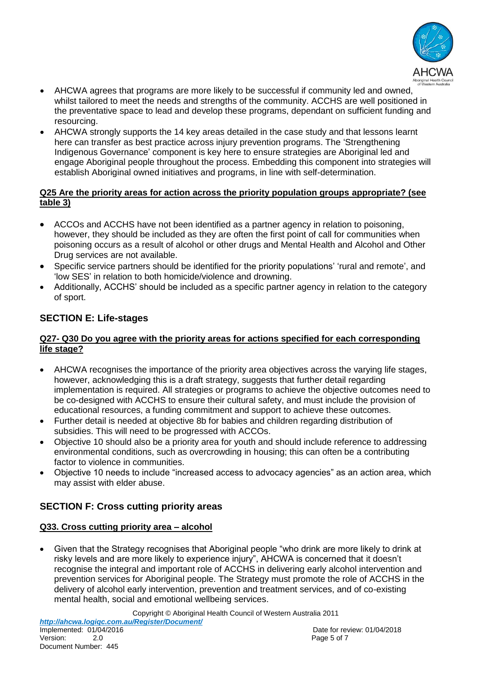

- AHCWA agrees that programs are more likely to be successful if community led and owned, whilst tailored to meet the needs and strengths of the community. ACCHS are well positioned in the preventative space to lead and develop these programs, dependant on sufficient funding and resourcing.
- AHCWA strongly supports the 14 key areas detailed in the case study and that lessons learnt here can transfer as best practice across injury prevention programs. The 'Strengthening Indigenous Governance' component is key here to ensure strategies are Aboriginal led and engage Aboriginal people throughout the process. Embedding this component into strategies will establish Aboriginal owned initiatives and programs, in line with self-determination.

### **Q25 Are the priority areas for action across the priority population groups appropriate? (see table 3)**

- ACCOs and ACCHS have not been identified as a partner agency in relation to poisoning, however, they should be included as they are often the first point of call for communities when poisoning occurs as a result of alcohol or other drugs and Mental Health and Alcohol and Other Drug services are not available.
- Specific service partners should be identified for the priority populations' 'rural and remote', and 'low SES' in relation to both homicide/violence and drowning.
- Additionally, ACCHS' should be included as a specific partner agency in relation to the category of sport.

# **SECTION E: Life-stages**

#### **Q27- Q30 Do you agree with the priority areas for actions specified for each corresponding life stage?**

- AHCWA recognises the importance of the priority area objectives across the varying life stages, however, acknowledging this is a draft strategy, suggests that further detail regarding implementation is required. All strategies or programs to achieve the objective outcomes need to be co-designed with ACCHS to ensure their cultural safety, and must include the provision of educational resources, a funding commitment and support to achieve these outcomes.
- Further detail is needed at objective 8b for babies and children regarding distribution of subsidies. This will need to be progressed with ACCOs.
- Objective 10 should also be a priority area for youth and should include reference to addressing environmental conditions, such as overcrowding in housing; this can often be a contributing factor to violence in communities.
- Objective 10 needs to include "increased access to advocacy agencies" as an action area, which may assist with elder abuse.

# **SECTION F: Cross cutting priority areas**

# **Q33. Cross cutting priority area – alcohol**

 Given that the Strategy recognises that Aboriginal people "who drink are more likely to drink at risky levels and are more likely to experience injury", AHCWA is concerned that it doesn't recognise the integral and important role of ACCHS in delivering early alcohol intervention and prevention services for Aboriginal people. The Strategy must promote the role of ACCHS in the delivery of alcohol early intervention, prevention and treatment services, and of co-existing mental health, social and emotional wellbeing services.

Copyright © Aboriginal Health Council of Western Australia 2011

*http://ahcwa.logiqc.com.au/Register/Document/*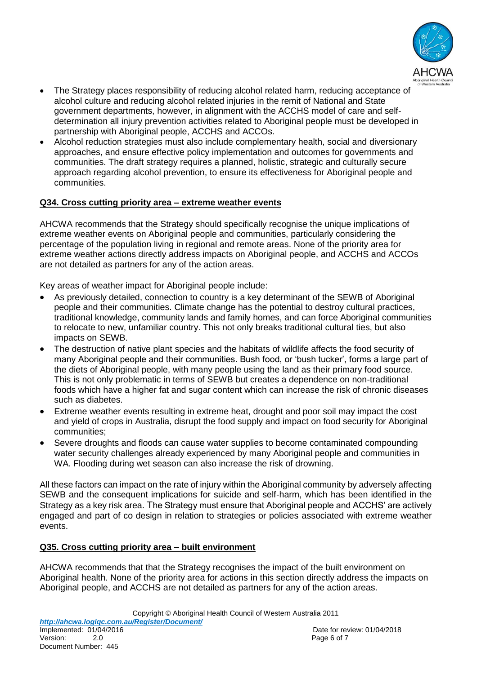

- The Strategy places responsibility of reducing alcohol related harm, reducing acceptance of alcohol culture and reducing alcohol related injuries in the remit of National and State government departments, however, in alignment with the ACCHS model of care and selfdetermination all injury prevention activities related to Aboriginal people must be developed in partnership with Aboriginal people, ACCHS and ACCOs.
- Alcohol reduction strategies must also include complementary health, social and diversionary approaches, and ensure effective policy implementation and outcomes for governments and communities. The draft strategy requires a planned, holistic, strategic and culturally secure approach regarding alcohol prevention, to ensure its effectiveness for Aboriginal people and communities.

#### **Q34. Cross cutting priority area – extreme weather events**

AHCWA recommends that the Strategy should specifically recognise the unique implications of extreme weather events on Aboriginal people and communities, particularly considering the percentage of the population living in regional and remote areas. None of the priority area for extreme weather actions directly address impacts on Aboriginal people, and ACCHS and ACCOs are not detailed as partners for any of the action areas.

Key areas of weather impact for Aboriginal people include:

- As previously detailed, connection to country is a key determinant of the SEWB of Aboriginal people and their communities. Climate change has the potential to destroy cultural practices, traditional knowledge, community lands and family homes, and can force Aboriginal communities to relocate to new, unfamiliar country. This not only breaks traditional cultural ties, but also impacts on SEWB.
- The destruction of native plant species and the habitats of wildlife affects the food security of many Aboriginal people and their communities. Bush food, or 'bush tucker', forms a large part of the diets of Aboriginal people, with many people using the land as their primary food source. This is not only problematic in terms of SEWB but creates a dependence on non-traditional foods which have a higher fat and sugar content which can increase the risk of chronic diseases such as diabetes.
- Extreme weather events resulting in extreme heat, drought and poor soil may impact the cost and yield of crops in Australia, disrupt the food supply and impact on food security for Aboriginal communities;
- Severe droughts and floods can cause water supplies to become contaminated compounding water security challenges already experienced by many Aboriginal people and communities in WA. Flooding during wet season can also increase the risk of drowning.

All these factors can impact on the rate of injury within the Aboriginal community by adversely affecting SEWB and the consequent implications for suicide and self-harm, which has been identified in the Strategy as a key risk area. The Strategy must ensure that Aboriginal people and ACCHS' are actively engaged and part of co design in relation to strategies or policies associated with extreme weather events.

# **Q35. Cross cutting priority area – built environment**

AHCWA recommends that that the Strategy recognises the impact of the built environment on Aboriginal health. None of the priority area for actions in this section directly address the impacts on Aboriginal people, and ACCHS are not detailed as partners for any of the action areas.